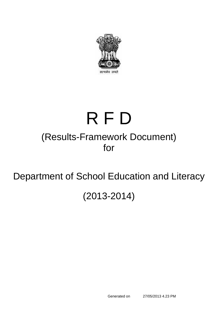

# (Results-Framework Document) for R F D

## Department of School Education and Literacy

## (2013-2014)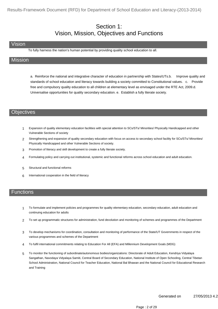#### Section 1: Vision, Mission, Objectives and Functions

#### Vision

To fully harness the nation's human potential by providing quality school education to all.

#### **Mission**

a. Reinforce the national and integrative character of education in partnership with States/UTs.b. Improve quality and standards of school education and literacy towards building a society committed to Constitutional values. c. Provide free and compulsory quality education to all children at elementary level as envisaged under the RTE Act, 2009.d. Universalise opportunities for quality secondary education. e. Establish a fully literate society.

#### **Objectives**

- 1 Expansion of quality elementary education facilities with special attention to SCs/STs/ Minorities/ Physically Handicapped and other Vulnerable Sections of society
- 2 Strengthening and expansion of quality secondary education with focus on access to secondary school facility for SCs/STs/ Minorities/ Physically Handicapped and other Vulnerable Sections of society.
- 3 Promotion of literacy and skill development to create a fully literate society.
- 4 Formulating policy and carrying out institutional, systemic and functional reforms across school education and adult education.
- 5 Structural and functional reforms
- 6 International cooperation in the field of literacy

#### **Functions**

- To formulate and implement policies and programmes for quality elementary education, secondary education, adult education and continuing education for adults 1
- 2 To set up programmatic structures for administration, fund devolution and monitoring of schemes and programmes of the Department
- To develop mechanisms for coordination, consultation and monitoring of performance of the State/UT Governments in respect of the various programmes and schemes of the Department 3
- 4 To fulfil international commitments relating to Education For All (EFA) and Millennium Development Goals (MDG)
- To monitor the functioning of subordinate/autonomous bodies/organizations: Directorate of Adult Education, Kendriya Vidyalaya Sangathan, Navodaya Vidyalaya Samiti, Central Board of Secondary Education, National Institute of Open Schooling, Central Tibetan School Administration, National Council for Teacher Education, National Bal Bhawan and the National Council for Educational Research and Training 5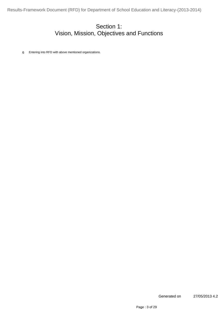#### Section 1: Vision, Mission, Objectives and Functions

6 Entering into RFD with above mentioned organizations.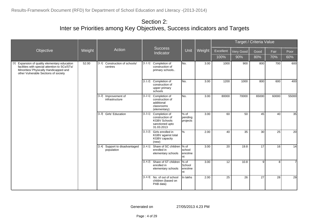|                                                                                                                                                                                       |        |                                              |         |                                                                                                  |                                              |        |                   |                  | Target / Criteria Value |             |                |
|---------------------------------------------------------------------------------------------------------------------------------------------------------------------------------------|--------|----------------------------------------------|---------|--------------------------------------------------------------------------------------------------|----------------------------------------------|--------|-------------------|------------------|-------------------------|-------------|----------------|
| Objective                                                                                                                                                                             | Weight | Action                                       |         | <b>Success</b><br>Indicator                                                                      | Unit                                         | Weight | Excellent<br>100% | Very Good<br>90% | Good<br>80%             | Fair<br>70% | Poor<br>60%    |
| Expansion of quality elementary education<br>$[1]$<br>facilities with special attention to SCs/STs/<br>Minorities/ Physically Handicapped and<br>other Vulnerable Sections of society | 52.00  | Construction of schools/<br>[1.1]<br>centres | [1.1.1] | Completion of<br>construction of<br>primary schools                                              | No.                                          | 3.00   | 1000              | 900              | 800                     | 700         | 600            |
|                                                                                                                                                                                       |        |                                              |         | [1.1.2] Completion of<br>construction of<br>upper primary<br>schools                             | INo.                                         | 3.00   | 1200              | 1000             | 800                     | 600         | 400            |
|                                                                                                                                                                                       |        | [1.2] Improvement of<br>infrastructure       |         | [1.2.1] Completion of<br>construction of<br>additional<br>classrooms<br>(elementary)             | No.                                          | 3.00   | 80000             | 70000            | 65000                   | 60000       | 55000          |
|                                                                                                                                                                                       |        | [1.3] Girls' Education                       |         | [1.3.1] Completion of<br>construction of<br><b>KGBV Schools</b><br>sanctioned upto<br>31.03.2013 | $%$ of<br>pending<br>projects                | 3.00   | 60                | 50               | 45                      | 40          | 35             |
|                                                                                                                                                                                       |        |                                              |         | [1.3.2] Girls enrolled in<br>KGBV against total<br>KGBV capacity<br>(new)                        | $\sqrt{2}$                                   | 2.00   | 40                | 35               | 30                      | 25          | 20             |
|                                                                                                                                                                                       |        | [1.4] Support to disadvantaged<br>population | [1.4.1] | Share of SC children % of<br>enrolled in<br>elementary schools                                   | school<br>enrolme<br>Int                     | 3.00   | 20                | 19.8             | 17                      | 16          | 14             |
|                                                                                                                                                                                       |        |                                              |         | [1.4.2] Share of ST children<br>enrolled in<br>elementary schools                                | $\frac{9}{6}$ of<br>School<br>enrolme<br>Int | 3.00   | 12                | 10.8             | 9                       | 8           | $\overline{7}$ |
|                                                                                                                                                                                       |        |                                              | [1.4.3] | No. of out of school<br>children (based on<br>PAB data)                                          | In lakhs                                     | 2.00   | 25                | 26               | 27                      | 28          | 29             |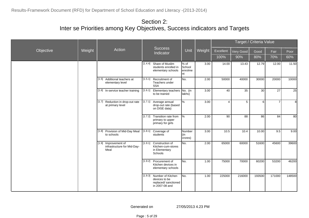|           |        |                                                                |         |                                                                                      |                                 |        |                |           | Target / Criteria Value |                |        |
|-----------|--------|----------------------------------------------------------------|---------|--------------------------------------------------------------------------------------|---------------------------------|--------|----------------|-----------|-------------------------|----------------|--------|
| Objective | Weight | Action                                                         |         | <b>Success</b><br>Indicator                                                          | Unit                            | Weight | Excellent      | Very Good | Good                    | Fair           | Poor   |
|           |        |                                                                |         |                                                                                      |                                 |        | 100%           | 90%       | 80%                     | 70%            | 60%    |
|           |        |                                                                | [1.4.4] | Share of Muslim<br>students enrolled in<br>elementary schools                        | % of<br>School<br>enrolme<br>nt | 3.00   | 14.00          | 13.43     | 12.79                   | 12.00          | 11.50  |
|           |        | Additional teachers at<br>[1.5]<br>elementary level            | [1.5.1] | Recruitment of<br>Teachers under<br><b>SSA</b>                                       | No.                             | 2.00   | 50000          | 40000     | 30000                   | 20000          | 10000  |
|           |        | [1.6] In-service teacher training                              | [1.6.1] | Elementary teachers<br>to be trained                                                 | No. (in<br>lakhs)               | 3.00   | 40             | 35        | 30                      | 27             | 25     |
|           |        | Reduction in drop-out rate<br>[1.7]<br>at primary level        | [1.7.1] | Average annual<br>drop-out rate (based<br>on DISE data)                              | $\%$                            | 3.00   | $\overline{4}$ | 5         | 6                       | $\overline{7}$ | 8      |
|           |        |                                                                | [1.7.2] | Transition rate from<br>primary to upper<br>primary for girls                        | $\sqrt{2}$                      | 2.00   | 90             | 88        | 86                      | 84             | 80     |
|           |        | [1.8] Provision of Mid-Day Meal<br>to schools                  | [1.8.1] | Coverage of<br>students                                                              | Number<br>(in<br>crores)        | 3.00   | 10.5           | 10.4      | 10.00                   | 9.5            | 9.00   |
|           |        | [1.9]<br>Improvement of<br>infrastructure for Mid-Day-<br>Meal | [1.9.1] | Construction of<br>Kitchen-cum-stores<br>in Elementary<br>Schools                    | No.                             | 2.00   | 65000          | 60000     | 51600                   | 45600          | 39600  |
|           |        |                                                                |         | [1.9.2] Procurement of<br>Kitchen devices in<br>elementary schools                   | No.                             | 1.00   | 75000          | 70000     | 60200                   | 53200          | 46200  |
|           |        |                                                                |         | [1.9.3] Number of Kitchen<br>devices to be<br>replaced/ sanctioned<br>in 2007-08 and | No.                             | 1.00   | 225000         | 216000    | 193500                  | 171000         | 148500 |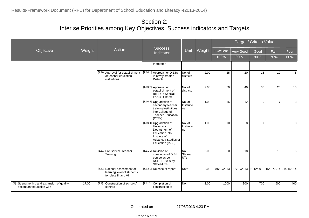|                                                                        |        |                                                                                       |                                                                                                                                     |                              |        |            |                                             | Target / Criteria Value |                 |                |
|------------------------------------------------------------------------|--------|---------------------------------------------------------------------------------------|-------------------------------------------------------------------------------------------------------------------------------------|------------------------------|--------|------------|---------------------------------------------|-------------------------|-----------------|----------------|
| Objective                                                              | Weight | Action                                                                                | <b>Success</b><br>Indicator                                                                                                         | Unit                         | Weight | Excellent  | Very Good                                   | Good                    | Fair            | Poor           |
|                                                                        |        |                                                                                       |                                                                                                                                     |                              |        | 100%       | 90%                                         | 80%                     | 70%             | 60%            |
|                                                                        |        |                                                                                       | thereafter                                                                                                                          |                              |        |            |                                             |                         |                 |                |
|                                                                        |        | [1.10] Approval for establishment<br>of teacher education<br>institutions             | [1.10.1] Approval for DIETs<br>in newly created<br><b>Districts</b>                                                                 | No. of<br>districts          | 2.00   | 25         | 20                                          | 15                      | 10 <sup>1</sup> | 5              |
|                                                                        |        |                                                                                       | [1.10.2] Approval for<br>establishment of<br><b>BITEs in Special</b><br><b>Focus Districts</b>                                      | No. of<br><b>I</b> districts | 2.00   | 50         | 40                                          | 35                      | 25              | 15             |
|                                                                        |        |                                                                                       | [1.10.3] Upgradation of<br>secondary teacher<br>training institutions<br>into College of<br><b>Teacher Education</b><br>(CTEs)      | No. of<br>Institutio<br>Ins  | 1.00   | 15         | 12                                          | 9                       | $\overline{7}$  | $\overline{3}$ |
|                                                                        |        |                                                                                       | [1.10.4] Upgradation of<br>University<br>Department of<br>Education into<br>Institute of<br>Advanced Studies of<br>Education (IASE) | No. of<br>Institutio<br>Ins  | 1.00   | 10         | 8                                           | $\overline{7}$          | $6 \mid$        | $\mathbf{3}$   |
|                                                                        |        | [1.11] Pre-Service Teacher<br>Training                                                | $[1.11.1]$ Revision of<br>curriculum of D.Ed<br>course as per<br>NCFTE, 2009 by<br>States/UTs                                       | No.<br>States/<br>IUTs.      | 2.00   | 20         | 18                                          | 12                      | 10              | 5              |
|                                                                        |        | [1.12] National assessment of<br>learning level of students<br>for class III and VIII | [1.12.1] Release of report                                                                                                          | Date                         | 2.00   | 01/12/2013 | 15/12/2013 31/12/2013 15/01/2014 31/01/2014 |                         |                 |                |
| [2] Strengthening and expansion of quality<br>secondary education with | 17.00  | Construction of schools/<br>[2.1]<br>centres                                          | [2.1.1]<br>Completion of<br>construction of                                                                                         | No.                          | 2.00   | 1000       | 800                                         | 700                     | 600             | 400            |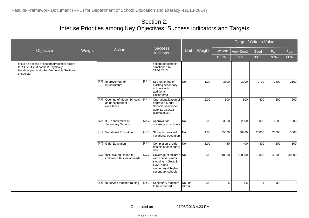|                                                                                                                                                 |        |                                                                    |         | <b>Success</b>                                                                                                                  |                   |        |           |           | Target / Criteria Value |       |       |
|-------------------------------------------------------------------------------------------------------------------------------------------------|--------|--------------------------------------------------------------------|---------|---------------------------------------------------------------------------------------------------------------------------------|-------------------|--------|-----------|-----------|-------------------------|-------|-------|
| Objective                                                                                                                                       | Weight | Action                                                             |         | Indicator                                                                                                                       | Unit              | Weight | Excellent | Very Good | Good                    | Fair  | Poor  |
|                                                                                                                                                 |        |                                                                    |         |                                                                                                                                 |                   |        | 100%      | 90%       | 80%                     | 70%   | 60%   |
| focus on access to secondary school facility<br>for SCs/STs/ Minorities/ Physically<br>Handicapped and other Vulnerable Sections<br>of society. |        |                                                                    |         | secondary schools<br>sanctioned by<br>31.03.2013                                                                                |                   |        |           |           |                         |       |       |
|                                                                                                                                                 |        | [2.2] Improvement of<br>infrastructure                             |         | [2.2.1] Strengthening of<br>existing secondary<br>schools with<br>additional<br>classrooms                                      | No.               | 1.00   | 3300      | 3000      | 2700                    | 2400  | 2100  |
|                                                                                                                                                 |        | Opening of Model Schools<br>[2.3]<br>as benchmark of<br>excellence | [2.3.1] | Operationalisation of  %<br>approved Model<br>Schools sanctioned<br>upto 31.03.2013<br>(Cumulative)                             |                   | 2.00   | 600       | 500       | 400                     | 300   | 200   |
|                                                                                                                                                 |        | [2.4] ICT enablement of<br>Secondary Schools                       |         | [2.4.1] Approval for<br>coverage of schools                                                                                     | No.               | 2.00   | 3000      | 2500      | 2000                    | 1500  | 1000  |
|                                                                                                                                                 |        | [2.5] Vocational Education                                         | [2.5.1] | Students provided<br>vocational education                                                                                       | lNo.              | 1.00   | 35000     | 30000     | 25000                   | 20000 | 15000 |
|                                                                                                                                                 |        | [2.6] Girls' Education                                             |         | [2.6.1] Completion of girls'<br>hostels at secondary<br>level                                                                   | No.               | 1.00   | 450       | 400       | 300                     | 200   | 100   |
|                                                                                                                                                 |        | [2.7] Inclusive education for<br>children with special needs       | [2.7.1] | Coverage of children No.<br>with special needs<br>studying in Govt. &<br>Govt. aided<br>secondary & higher<br>secondary schools |                   | 2.00   | 110000    | 100000    | 70000                   | 40000 | 30000 |
|                                                                                                                                                 |        | [2.8] In-service teacher training                                  | [2.8.1] | Secondary teachers<br>to be imparted                                                                                            | No. (in<br>lakhs) | 2.00   | 5         | 4.5       | $\overline{4}$          | 3.5   | 3     |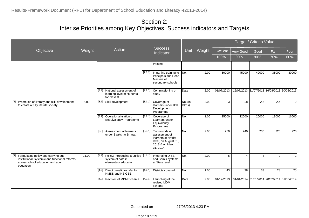|                                                                                                                                              |        |                                                                                             |         |                                                                                                                          |                   |        |            |                                             | Target / Criteria Value |                |       |
|----------------------------------------------------------------------------------------------------------------------------------------------|--------|---------------------------------------------------------------------------------------------|---------|--------------------------------------------------------------------------------------------------------------------------|-------------------|--------|------------|---------------------------------------------|-------------------------|----------------|-------|
| Objective                                                                                                                                    | Weight | Action                                                                                      |         | <b>Success</b><br>Indicator                                                                                              | Unit              | Weight | Excellent  | Very Good                                   | Good                    | Fair           | Poor  |
|                                                                                                                                              |        |                                                                                             |         |                                                                                                                          |                   |        | 100%       | 90%                                         | 80%                     | 70%            | 60%   |
|                                                                                                                                              |        |                                                                                             |         | training                                                                                                                 |                   |        |            |                                             |                         |                |       |
|                                                                                                                                              |        |                                                                                             |         | [2.8.2] Imparting training to<br>Principals and Head<br>Masters of<br>secondary schools                                  | INo.              | 2.00   | 50000      | 45000                                       | 40000                   | 35000          | 30000 |
|                                                                                                                                              |        | National assessment of<br>[2.9]<br>learning level of students<br>for class X                |         | [2.9.1] Commissioning of<br>study                                                                                        | Date              | 2.00   | 01/07/2013 | 15/07/2013 31/07/2013 16/08/2013 30/08/2013 |                         |                |       |
| [3] Promotion of literacy and skill development<br>to create a fully literate society.                                                       | 5.00   | [3.1] Skill development                                                                     |         | [3.1.1] Coverage of<br>learners under skill<br>Development<br>Programme                                                  | No. (in<br>lakhs) | 2.00   | 3          | 2.8                                         | 2.6                     | 2.4            | 2     |
|                                                                                                                                              |        | Operationali-sation of<br>[3.2]<br>Eequivalency Programme                                   |         | [3.2.1] Coverage of<br>Learners under<br>Equivalency<br>Programme                                                        | INo.              | 1.00   | 25000      | 22000                                       | 20000                   | 18000          | 16000 |
|                                                                                                                                              |        | Assessment of learners<br>[3.3]<br>under Saakshar Bharat                                    |         | $[3.3.1]$ Two rounds of<br>assessment of<br>learners at district<br>level, on August 31,<br>2013 & on March<br>31, 2014. | INo.              | 2.00   | 250        | 240                                         | 230                     | 225            | 220   |
| [4] Formulating policy and carrying out<br>institutional, systemic and functional reforms<br>across school education and adult<br>education. | 11.00  | [4.1]<br>Policy: Introducing a unified [4.1.1]<br>system of data in<br>elementary education |         | <b>Integrating DISE</b><br>and Semis systems<br>at State level                                                           | INo.              | 2.00   | 5          | 4                                           |                         | $\overline{2}$ |       |
|                                                                                                                                              |        | Direct benefit transfer for<br>$[4.2]$<br>NMSS and NSIGSE                                   |         | [4.2.1] Districts covered                                                                                                | INo.              | 1.00   | 43         | 38                                          | 33                      | 28             | 25    |
|                                                                                                                                              |        | [4.3] Revision of MDM Scheme                                                                | [4.3.1] | Launching of the<br>revised MDM<br>scheme                                                                                | Date              | 2.00   | 01/12/2013 | 01/01/2014 31/01/2014 28/02/2014 31/03/2014 |                         |                |       |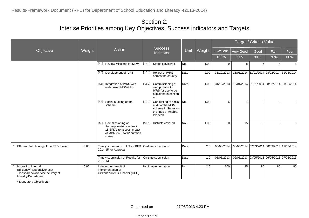|                                                                                                             |        |                                                                                                                           |                                                                                                              |              |        |            |                                             | Target / Criteria Value |                                  |      |
|-------------------------------------------------------------------------------------------------------------|--------|---------------------------------------------------------------------------------------------------------------------------|--------------------------------------------------------------------------------------------------------------|--------------|--------|------------|---------------------------------------------|-------------------------|----------------------------------|------|
| Objective                                                                                                   | Weight | Action                                                                                                                    | <b>Success</b><br>Indicator                                                                                  | Unit         | Weight | Excellent  | Very Good                                   | Good                    | Fair                             | Poor |
|                                                                                                             |        |                                                                                                                           |                                                                                                              |              |        | 100%       | 90%                                         | 80%                     | 70%                              | 60%  |
|                                                                                                             |        | [4.4] Review Missions for MDM                                                                                             | $\overline{[4.4.1]}$ States Reviewed                                                                         | No.          | 1.00   | 9          | 8                                           |                         | $6 \mid$                         | 5    |
|                                                                                                             |        | [4.5] Development of IVRS                                                                                                 | [4.5.1] Rollout of IVRS<br>across the country                                                                | Date         | 2.00   | 31/12/2013 | 15/01/2014 31/01/2014 28/02/2014 31/03/2014 |                         |                                  |      |
|                                                                                                             |        | [4.6] Integration of IVRS with<br>web based MDM-MIS                                                                       | [4.6.1]<br>Commissioning of<br>web portal with<br>IVRS for use[to be<br>explained in section<br>41           | Date         | 1.00   | 31/12/2013 | 15/01/2014 31/01/2014 28/02/2014 31/03/2014 |                         |                                  |      |
|                                                                                                             |        | Social auditing of the<br>[4.7]<br>scheme                                                                                 | [4.7.1]<br>Conducting of social<br>audit of the MDM<br>scheme in States on<br>the lines of Andhra<br>Pradesh | No.          | 1.00   | 5          | 4                                           | 3                       | $\overline{2}$                   |      |
|                                                                                                             |        | [4.8] Commissioning of<br>Anthropometric studies in<br>15 SFD's to assess impact<br>of MDM on Health/ nutrition<br>states | [4.8.1] Districts covered                                                                                    | INo.         | 1.00   | 20         | 15                                          | 10                      | 8 <sup>1</sup>                   | 5    |
| Efficient Functioning of the RFD System                                                                     | 3.00   | Timely submission of Draft RFD On-time submission<br>2014-15 for Approval                                                 |                                                                                                              | <b>D</b> ate | 2.0    | 05/03/2014 | 06/03/2014                                  |                         | 07/03/2014 08/03/2014 11/03/2014 |      |
|                                                                                                             |        | Timely submission of Results for<br>2012-13                                                                               | On-time submission                                                                                           | Date         | 1.0    | 01/05/2013 | 02/05/2013 03/05/2013 06/05/2013 07/05/2013 |                         |                                  |      |
| Improving Internal<br>Efficiency/Responsiveness/<br>Transparency/Service delivery of<br>Ministry/Department | 6.00   | Independent Audit of<br>implementation of<br>Citizens'/Clients' Charter (CCC)                                             | % of implementation                                                                                          | $\%$         | 2.0    | 100        | 95                                          | 90                      | 85                               | 80   |

\* Mandatory Objective(s)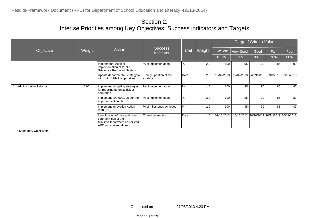|                               |        |                                                                                                                    | Success                            |      |        | Target / Criteria Value |                                             |      |                                  |                 |  |  |
|-------------------------------|--------|--------------------------------------------------------------------------------------------------------------------|------------------------------------|------|--------|-------------------------|---------------------------------------------|------|----------------------------------|-----------------|--|--|
| Objective                     | Weight | Action                                                                                                             | Indicator                          | Unit | Weight | Excellent               | Very Good                                   | Good | Fair                             | Poor            |  |  |
|                               |        |                                                                                                                    |                                    |      |        | 100%                    | 90%                                         | 80%  | 70%                              | 60%             |  |  |
|                               |        | Independent Audit of<br>implementation of Public<br>Grievance Redressal System                                     | % of implementation                | l%   | 2.0    | 100                     | 95                                          | 90   | 85                               | 90 <sup>1</sup> |  |  |
|                               |        | Update departmental strategy to<br>align with 12th Plan priorities                                                 | Timely updation of the<br>strategy | Date | 2.0    | 10/09/2013              | 17/09/2013                                  |      | 24/09/2013 01/10/2013 08/10/2013 |                 |  |  |
| <b>Administrative Reforms</b> | 6.00   | Implement mitigating strategies<br>for reducing potential risk of<br>corruption                                    | % of implementation                | l%   | 1.0    | 100                     | 95                                          | 90   | 85                               | 80              |  |  |
|                               |        | Implement ISO 9001 as per the<br>approved action plan                                                              | % of implementation                | l%   | 2.0    | 100                     | 95                                          | 90   | 85                               | 80              |  |  |
|                               |        | Implement Innovation Action<br>Plan (IAP)                                                                          | % of milestones achieved           | $\%$ | 2.0    | 100                     | 95                                          | 90   | 85                               | 80              |  |  |
|                               |        | Identification of core and non-<br>core activities of the<br>Ministry/Department as per 2nd<br>ARC recommendations | Timely submission                  | Date | 1.0    | 01/10/2013              | 15/10/2013 80/10/2013 10/11/2013 20/11/2013 |      |                                  |                 |  |  |

\* Mandatory Objective(s)

Generated on 27/05/2013 4.23 PM

Page : 10 of 29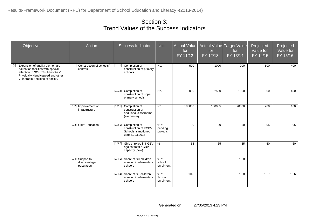| Objective                                                                                                                                                                              | Action                                          | <b>Success Indicator</b>                                                               | Unit                        | <b>Actual Value</b><br>for<br>FY 11/12 | for<br>FY 12/13          | Actual Value Target Value<br>for<br>FY 13/14 | Projected<br>Value for<br>FY 14/15 | Projected<br>Value for<br>FY 15/16 |
|----------------------------------------------------------------------------------------------------------------------------------------------------------------------------------------|-------------------------------------------------|----------------------------------------------------------------------------------------|-----------------------------|----------------------------------------|--------------------------|----------------------------------------------|------------------------------------|------------------------------------|
| Expansion of quality elementary<br>[1]<br>education facilities with special<br>attention to SCs/STs/ Minorities/<br>Physically Handicapped and other<br>Vulnerable Sections of society | [1.1] Construction of schools/<br>centres       | [1.1.1] Completion of<br>construction of primary<br>schools                            | No.                         | 500                                    | 1000                     | 900                                          | 600                                | 400                                |
|                                                                                                                                                                                        |                                                 | [1.1.2] Completion of<br>construction of upper<br>primary schools                      | No.                         | 2000                                   | 2500                     | 1000                                         | 600                                | 400                                |
|                                                                                                                                                                                        | [1.2] Improvement of<br>infrastructure          | [1.2.1] Completion of<br>construction of<br>additional classrooms<br>(elementary)      | No.                         | 180000                                 | 100065                   | 70000                                        | 200                                | 100                                |
|                                                                                                                                                                                        | [1.3] Girls' Education                          | [1.3.1] Completion of<br>construction of KGBV<br>Schools sanctioned<br>upto 31.03.2013 | % of<br>pending<br>projects | 90                                     | 90                       | 50                                           | 95                                 | 95                                 |
|                                                                                                                                                                                        |                                                 | [1.3.2] Girls enrolled in KGBV<br>against total KGBV<br>capacity (new)                 | $\%$                        | 65                                     | 65                       | 35                                           | 50                                 | 60                                 |
|                                                                                                                                                                                        | [1.4] Support to<br>disadvantaged<br>population | [1.4.1] Share of SC children<br>enrolled in elementary<br>schools                      | % of<br>school<br>enrolment | $\mathbf{u}$                           | $\overline{\phantom{a}}$ | 19.8                                         | $\sim$                             | $\sim$                             |
|                                                                                                                                                                                        |                                                 | [1.4.2] Share of ST children<br>enrolled in elementary<br>schools                      | % of<br>School<br>enrolment | 10.8                                   | $\overline{\phantom{a}}$ | 10.8                                         | 10.7                               | 10.6                               |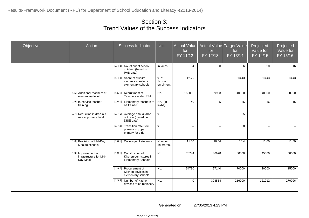| Objective | Action                                                      | <b>Success Indicator</b>                                                      | Unit                        | <b>Actual Value</b><br>for<br>FY 11/12 | Actual Value<br>for<br>FY 12/13 | Target Value<br>for<br>FY 13/14 | Projected<br>Value for<br>FY 14/15 | Projected<br>Value for<br>FY 15/16 |
|-----------|-------------------------------------------------------------|-------------------------------------------------------------------------------|-----------------------------|----------------------------------------|---------------------------------|---------------------------------|------------------------------------|------------------------------------|
|           |                                                             | $[1.4.3]$ No. of out of school<br>children (based on<br>PAB data)             | In lakhs                    | 34                                     | 30                              | 26                              | 20                                 | 16                                 |
|           |                                                             | [1.4.4] Share of Muslim<br>students enrolled in<br>elementary schools         | % of<br>School<br>enrolment | 12.79                                  | $\sim$                          | 13.43                           | 13.43                              | 13.43                              |
|           | [1.5] Additional teachers at<br>elementary level            | [1.5.1] Recruitment of<br>Teachers under SSA                                  | No.                         | 150000                                 | 59903                           | 40000                           | 40000                              | 30000                              |
|           | [1.6] In-service teacher<br>training                        | [1.6.1] Elementary teachers to<br>be trained                                  | No. (in<br>lakhs)           | 40                                     | 35                              | 35                              | 16                                 | 15                                 |
|           | [1.7] Reduction in drop-out<br>rate at primary level        | [1.7.1] Average annual drop-<br>out rate (based on<br>DISE data)              | %                           | $\sim$                                 | $\mathcal{L}_{\mathcal{F}}$     | 5                               | $\overline{\phantom{a}}$           | $\sim$                             |
|           |                                                             | [1.7.2] Transition rate from<br>primary to upper<br>primary for girls         | $\%$                        | $\mathbf{u}$                           | $\overline{\phantom{a}}$        | 88                              | н.                                 | $\sim$                             |
|           | [1.8] Provision of Mid-Day<br>Meal to schools               | [1.8.1] Coverage of students                                                  | Number<br>(in crores)       | 11.00                                  | 10.54                           | 10.4                            | 11.00                              | 11.50                              |
|           | [1.9] Improvement of<br>infrastructure for Mid-<br>Day-Meal | [1.9.1] Construction of<br>Kitchen-cum-stores in<br><b>Elementary Schools</b> | No.                         | 78744                                  | 36978                           | 60000                           | 45000                              | 50000                              |
|           |                                                             | [1.9.2] Procurement of<br>Kitchen devices in<br>elementary schools            | No.                         | 54790                                  | 27140                           | 70000                           | 20000                              | 15000                              |
|           |                                                             | [1.9.3] Number of Kitchen<br>devices to be replaced/                          | No.                         | $\mathbf 0$                            | 303554                          | 216000                          | 121212                             | 270096                             |

Page : 12 of 29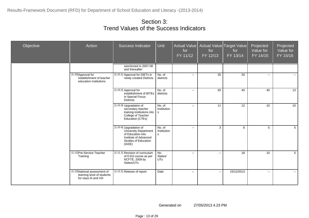| Objective | Action                                                                                | <b>Success Indicator</b>                                                                                                                       | Unit                                  | for<br>FY 11/12          | Actual Value   Actual Value   Target Value  <br>for<br>FY 12/13 | for<br>FY 13/14 | Projected<br>Value for<br>FY 14/15 | Projected<br>Value for<br>FY 15/16 |
|-----------|---------------------------------------------------------------------------------------|------------------------------------------------------------------------------------------------------------------------------------------------|---------------------------------------|--------------------------|-----------------------------------------------------------------|-----------------|------------------------------------|------------------------------------|
|           |                                                                                       | sanctioned in 2007-08<br>and thereafter                                                                                                        |                                       |                          |                                                                 |                 |                                    |                                    |
|           | [1.10] Approval for<br>establishment of teacher<br>education institutions             | [1.10.1] Approval for DIETs in<br>newly created Districts                                                                                      | No. of<br>districts                   | $\overline{\phantom{a}}$ | 35                                                              | 20              | $\sim$                             | $\sim$                             |
|           |                                                                                       | [1.10.2] Approval for<br>establishment of BITEs<br>in Special Focus<br><b>Districts</b>                                                        | No. of<br>districts                   | $\sim$                   | 93                                                              | 40              | 40                                 | 13                                 |
|           |                                                                                       | [1.10.3] Upgradation of<br>secondary teacher<br>training institutions into<br>College of Teacher<br>Education (CTEs)                           | No. of<br>Institution<br>s            | $\sim$                   | 11                                                              | 12              | 10                                 | 10                                 |
|           |                                                                                       | [1.10.4] Upgradation of<br><b>University Department</b><br>of Education into<br>Institute of Advanced<br><b>Studies of Education</b><br>(IASE) | No. of<br>Institution<br>$\mathbf{s}$ | $\sim$                   | 3                                                               | 8               | 5                                  | $5\overline{)}$                    |
|           | [1.11]Pre-Service Teacher<br>Training                                                 | [1.11.1] Revision of curriculum<br>of D.Ed course as per<br>NCFTE, 2009 by<br>States/UTs                                                       | No.<br>States/<br><b>UTs</b>          | $\mathbb{L}^2$           | $\sim$                                                          | 18              | 10                                 | $5^{\circ}$                        |
|           | [1.12] National assessment of<br>learning level of students<br>for class III and VIII | [1.12.1] Release of report                                                                                                                     | Date                                  | $\sim$                   | $\sim$                                                          | 15/12/2013      | $\sim$                             | $\sim$                             |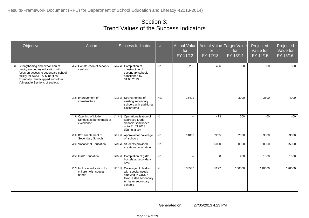| Objective                                                                                                                                                                                                                    | Action                                                          | <b>Success Indicator</b>                                                                                                            | Unit          | Actual Value<br>for<br>FY 11/12 | for<br>FY 12/13 | Actual Value Target Value<br>for<br>FY 13/14 | Projected<br>Value for<br>FY 14/15 | Projected<br>Value for<br>FY 15/16 |
|------------------------------------------------------------------------------------------------------------------------------------------------------------------------------------------------------------------------------|-----------------------------------------------------------------|-------------------------------------------------------------------------------------------------------------------------------------|---------------|---------------------------------|-----------------|----------------------------------------------|------------------------------------|------------------------------------|
| [2]<br>Strengthening and expansion of<br>quality secondary education with<br>focus on access to secondary school<br>facility for SCs/STs/ Minorities/<br>Physically Handicapped and other<br>Vulnerable Sections of society. | [2.1] Construction of schools/<br>centres                       | Completion of<br>[2.1.1]<br>construction of<br>secondary schools<br>sanctioned by<br>31.03.2013                                     | No.           | 283                             | 466             | 800                                          | 500                                | 500                                |
|                                                                                                                                                                                                                              | [2.2] Improvement of<br>infrastructure                          | [2.2.1] Strengthening of<br>existing secondary<br>schools with additional<br>classrooms                                             | No.           | 15491                           | $\mathbf{u}$    | 3000                                         | 3500                               | 4000                               |
|                                                                                                                                                                                                                              | [2.3] Opening of Model<br>Schools as benchmark of<br>excellence | [2.3.1]<br>Operationalisation of<br>approved Model<br>Schools sanctioned<br>upto 31.03.2013<br>(Cumulative)                         | $\frac{0}{0}$ | $\sim$                          | 473             | 500                                          | 400                                | 400                                |
|                                                                                                                                                                                                                              | [2.4] ICT enablement of<br>Secondary Schools                    | [2.4.1] Approval for coverage<br>of schools                                                                                         | No.           | 14062                           | 2255            | 2500                                         | 3000                               | 3000                               |
|                                                                                                                                                                                                                              | [2.5] Vocational Education                                      | [2.5.1] Students provided<br>vocational education                                                                                   | No.           | н.                              | 5000            | 30000                                        | 50000                              | 75000                              |
|                                                                                                                                                                                                                              | [2.6] Girls' Education                                          | [2.6.1] Completion of girls'<br>hostels at secondary<br>level                                                                       | No.           | $\sim$                          | 88              | 400                                          | 1000                               | 1000                               |
|                                                                                                                                                                                                                              | [2.7] Inclusive education for<br>children with special<br>needs | [2.7.1] Coverage of children<br>with special needs<br>studying in Govt. &<br>Govt. aided secondary<br>& higher secondary<br>schools | No.           | 138586                          | 81227           | 100000                                       | 110000                             | 120000                             |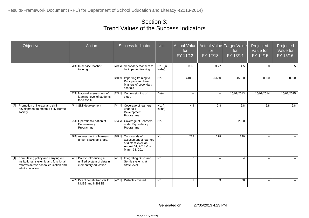| Objective                                                                                                                                    | Action                                                                           | <b>Success Indicator</b>                                                                                               | <b>Unit</b>       | <b>Actual Value</b><br>for<br>FY 11/12 | for<br>FY 12/13                               | Actual Value Target Value<br>for<br>$FY$ 13/14 | Projected<br>Value for<br>FY 14/15 | Projected<br>Value for<br>FY 15/16 |
|----------------------------------------------------------------------------------------------------------------------------------------------|----------------------------------------------------------------------------------|------------------------------------------------------------------------------------------------------------------------|-------------------|----------------------------------------|-----------------------------------------------|------------------------------------------------|------------------------------------|------------------------------------|
|                                                                                                                                              | [2.8] In-service teacher<br>training                                             | [2.8.1]<br>Secondary teachers to<br>be imparted training                                                               | No. (in<br>lakhs) | 3.18                                   | 3.77                                          | 4.5                                            | 5.0                                | 5.5                                |
|                                                                                                                                              |                                                                                  | [2.8.2]<br>Imparting training to<br>Principals and Head<br>Masters of secondary<br>schools                             | No.               | 41082                                  | 26660                                         | 45000                                          | 30000                              | 30000                              |
|                                                                                                                                              | [2.9] National assessment of<br>learning level of students<br>for class X        | [2.9.1] Commissioning of<br>study                                                                                      | Date              | $\sim$                                 | $\mathord{\hspace{1pt}\text{--}\hspace{1pt}}$ | 15/07/2013                                     | 15/07/2014                         | 15/07/2015                         |
| Promotion of literacy and skill<br>$[3]$<br>development to create a fully literate<br>society.                                               | [3.1] Skill development                                                          | [3.1.1]<br>Coverage of learners<br>under skill<br>Development<br>Programme                                             | No. (in<br>lakhs) | 4.4                                    | 2.8                                           | 2.8                                            | 2.8                                | 2.8                                |
|                                                                                                                                              | [3.2] Operationali-sation of<br>Eequivalency<br>Programme                        | [3.2.1] Coverage of Learners<br>under Equivalency<br>Programme                                                         | No.               | $\overline{\phantom{a}}$               | $\sim$ $\sim$                                 | 22000                                          | $\overline{a}$                     | $\sim$                             |
|                                                                                                                                              | [3.3] Assessment of learners<br>under Saakshar Bharat                            | Two rounds of<br>[3.3.1]<br>assessment of learners<br>at district level, on<br>August 31, 2013 & on<br>March 31, 2014. | No.               | 228                                    | 278                                           | 240                                            | $\mathbf{u}$                       | $\sim$                             |
| [4] Formulating policy and carrying out<br>institutional, systemic and functional<br>reforms across school education and<br>adult education. | [4.1] Policy: Introducing a<br>unified system of data in<br>elementary education | [4.1.1] Integrating DISE and<br>Semis systems at<br>State level                                                        | No.               | 6                                      | $\overline{\phantom{a}}$                      | $\overline{4}$                                 | $\overline{a}$                     | $\sim$                             |
|                                                                                                                                              | [4.2] Direct benefit transfer for<br>NMSS and NSIGSE                             | [4.2.1] Districts covered                                                                                              | No.               | $\mathbf{1}$                           | 3                                             | 38                                             | $\sim$                             | $\sim$                             |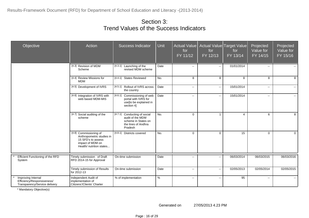| Objective                                                                         | Action                                                                                                                    | Success Indicator                                                                                         | Unit | Actual Value<br>for<br>FY 11/12 | for<br>FY 12/13 | Actual Value Target Value<br>for<br>FY 13/14 | Projected<br>Value for<br>$FY$ 14/15 | Projected<br>Value for<br>FY 15/16 |
|-----------------------------------------------------------------------------------|---------------------------------------------------------------------------------------------------------------------------|-----------------------------------------------------------------------------------------------------------|------|---------------------------------|-----------------|----------------------------------------------|--------------------------------------|------------------------------------|
|                                                                                   | [4.3] Revision of MDM<br>Scheme                                                                                           | [4.3.1] Launching of the<br>revised MDM scheme                                                            | Date | $\sim$ $\sim$                   | $\sim$          | 01/01/2014                                   | $\sim$                               |                                    |
|                                                                                   | [4.4] Review Missions for<br><b>MDM</b>                                                                                   | [4.4.1] States Reviewed                                                                                   | No.  | 8                               | 8               | 8                                            | 8                                    | 8                                  |
|                                                                                   | [4.5] Development of IVRS                                                                                                 | [4.5.1] Rollout of IVRS across<br>the country                                                             | Date | $\sim$                          | $\sim$          | 15/01/2014                                   | $\mathbf{u}$                         | $-1$                               |
|                                                                                   | [4.6] Integration of IVRS with<br>web based MDM-MIS                                                                       | [4.6.1]<br>Commissioning of web<br>portal with IVRS for<br>use[to be explained in<br>section 4]           | Date | $\sim$                          | $\sim$          | 15/01/2014                                   | $\mathbf{u}$                         | $\sim$                             |
|                                                                                   | [4.7] Social auditing of the<br>scheme                                                                                    | [4.7.1] Conducting of social<br>audit of the MDM<br>scheme in States on<br>the lines of Andhra<br>Pradesh | No.  | $\mathbf 0$                     | $\overline{1}$  | $\overline{4}$                               | 6                                    | 8                                  |
|                                                                                   | [4.8] Commissioning of<br>Anthropometric studies in<br>15 SFD's to assess<br>impact of MDM on<br>Health/ nutrition states | [4.8.1]<br>Districts covered                                                                              | No.  | $\mathbf 0$                     | $\mathbf 0$     | 15                                           | $\Omega$                             | $\Omega$                           |
| Efficient Functioning of the RFD<br>System                                        | Timely submission of Draft<br>RFD 2014-15 for Approval                                                                    | On-time submission                                                                                        | Date | ۰.                              | $\sim$          | 06/03/2014                                   | 06/03/2015                           | 06/03/2016                         |
|                                                                                   | Timely submission of Results<br>for 2012-13                                                                               | On-time submission                                                                                        | Date | $\sim$                          | $\sim$          | 02/05/2013                                   | 02/05/2014                           | 02/05/2015                         |
| Improving Internal<br>Efficiency/Responsiveness/<br>Transparency/Service delivery | Independent Audit of<br>implementation of<br>Citizens'/Clients' Charter                                                   | % of implementation                                                                                       | $\%$ | $\sim$                          | $\sim$          | 95                                           | $\mathbf{u}$                         | $\sim$                             |

\* Mandatory Objective(s)

Generated on 27/05/2013 4.23 PM

Page : 16 of 29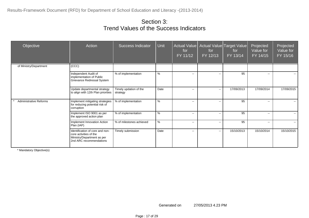| Objective                     | Action                                                                                                             | <b>Success Indicator</b>           | <b>Unit</b> | for<br>FY 11/12          | Actual Value   Actual Value   Target Value  <br>for<br>FY 12/13 | for<br>FY 13/14 | Projected<br>Value for<br>FY 14/15 | Projected<br>Value for<br>FY 15/16 |
|-------------------------------|--------------------------------------------------------------------------------------------------------------------|------------------------------------|-------------|--------------------------|-----------------------------------------------------------------|-----------------|------------------------------------|------------------------------------|
| of Ministry/Department        | $\overline{(CCC)}$                                                                                                 |                                    |             |                          |                                                                 |                 |                                    |                                    |
|                               | Independent Audit of<br>implementation of Public<br>Grievance Redressal System                                     | % of implementation                | $\%$        | $\mathbf{u}$             | $\overline{\phantom{a}}$                                        | 95              | $\sim$                             | $\sim$ $\sim$                      |
|                               | Update departmental strategy<br>to align with 12th Plan priorities                                                 | Timely updation of the<br>strategy | Date        | $\mathbf{u}$             | $\sim$                                                          | 17/09/2013      | 17/09/2014                         | 17/09/2015                         |
| <b>Administrative Reforms</b> | Implement mitigating strategies<br>for reducing potential risk of<br>corruption                                    | % of implementation                | $\%$        | $- -$                    | $\overline{\phantom{a}}$                                        | 95              | $- -$                              | $\overline{a}$                     |
|                               | Implement ISO 9001 as per<br>the approved action plan                                                              | % of implementation                | %           | --                       | $\overline{\phantom{a}}$                                        | 95              | $\sim$                             | $\sim$                             |
|                               | Implement Innovation Action<br>Plan (IAP)                                                                          | % of milestones achieved           | $\%$        | $\overline{\phantom{a}}$ | $\overline{\phantom{a}}$                                        | 95              | $\sim$                             | $\sim$                             |
|                               | Identification of core and non-<br>core activities of the<br>Ministry/Department as per<br>2nd ARC recommendations | Timely submission                  | Date        | $\mathbf{u}$             | $\sim$                                                          | 15/10/2013      | 15/10/2014                         | 15/10/2015                         |

\* Mandatory Objective(s)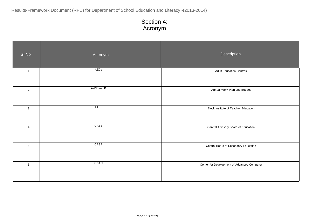| SI.No          | Acronym     | Description                                 |
|----------------|-------------|---------------------------------------------|
| $\overline{1}$ | AECs        | <b>Adult Education Centres</b>              |
| $\overline{2}$ | AWP and B   | Annual Work Plan and Budget                 |
| $\mathbf{3}$   | <b>BITE</b> | <b>Block Institute of Teacher Education</b> |
| $\overline{4}$ | CABE        | Central Advisory Board of Education         |
| $\overline{5}$ | <b>CBSE</b> | Central Board of Secondary Education        |
| $\,6\,$        | CDAC        | Center for Development of Advanced Computer |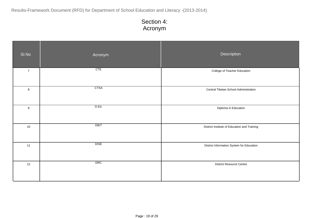| SI.No          | Acronym     | Description                                  |
|----------------|-------------|----------------------------------------------|
| $\overline{7}$ | CTE         | College of Teacher Education                 |
| $\bf8$         | <b>CTSA</b> | Central Tibetan School Administration        |
| $9\,$          | D.Ed.       | Diploma in Education                         |
| $10$           | <b>DIET</b> | District Institute of Education and Training |
| 11             | <b>DISE</b> | District Information System for Education    |
| 12             | <b>DRC</b>  | <b>District Resource Centre</b>              |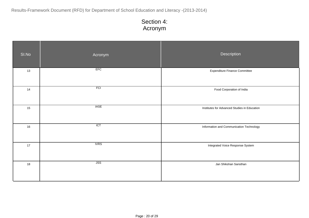| SI.No | Acronym     | Description                                  |
|-------|-------------|----------------------------------------------|
| 13    | EFC         | <b>Expenditure Finance Committee</b>         |
| 14    | FCI         | Food Corporation of India                    |
| 15    | <b>IASE</b> | Institutes for Advanced Studies in Education |
| 16    | ICT         | Information and Communication Technology     |
| 17    | <b>IVRS</b> | Integrated Voice Response System             |
| 18    | JSS         | Jan Shikshan Sansthan                        |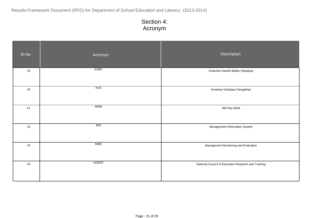| SI.No | Acronym      | Description                                         |
|-------|--------------|-----------------------------------------------------|
| 19    | <b>KGBV</b>  | Kasturba Gandhi Balika Vidyalaya                    |
| 20    | KVS          | Kendriya Vidyalaya Sangathan                        |
| 21    | <b>MDM</b>   | Mid Day Meal                                        |
| 22    | MIS          | Management Information System                       |
| 23    | <b>MME</b>   | Management Monitoring and Evaluation                |
| 24    | <b>NCERT</b> | National Council of Education Research and Training |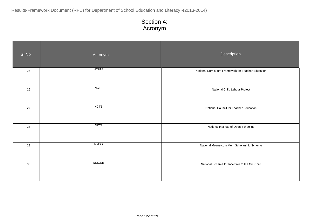| SI.No | Acronym       | Description                                         |
|-------|---------------|-----------------------------------------------------|
| 25    | <b>NCFTE</b>  | National Curriculum Framework for Teacher Education |
| 26    | NCLP          | National Child Labour Project                       |
| 27    | <b>NCTE</b>   | National Council for Teacher Education              |
| 28    | <b>NIOS</b>   | National Institute of Open Schooling                |
| 29    | <b>NMSS</b>   | National Means-cum Merit Scholarship Scheme         |
| 30    | <b>NSIGSE</b> | National Scheme for Incentive to the Girl Child     |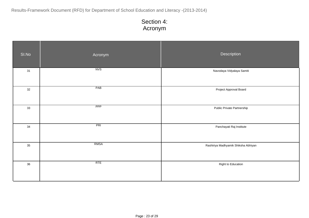| SI.No | Acronym     | Description                         |
|-------|-------------|-------------------------------------|
| 31    | NVS         | Navodaya Vidyalaya Samiti           |
| 32    | PAB         | Project Approval Board              |
| 33    | PPP         | Public Private Partnership          |
| 34    | PRI         | Panchayati Raj Institute            |
| 35    | <b>RMSA</b> | Rashtriya Madhyamik Shiksha Abhiyan |
| 36    | RTE         | Right to Education                  |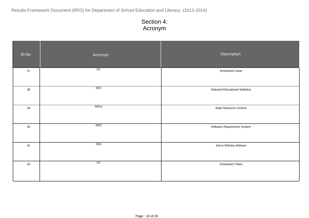| SI.No | Acronym                | Description                            |
|-------|------------------------|----------------------------------------|
| 37    | $\overline{\text{sc}}$ | Scheduled Caste                        |
| 38    | SES                    | <b>Selected Educational Statistics</b> |
| 39    | <b>SRCs</b>            | <b>State Resource Centres</b>          |
| 40    | SRS                    | Software Requirement System            |
| 41    | SSA                    | Sarva Shiksha Abhiyan                  |
| 42    | ST                     | <b>Scheduled Tribes</b>                |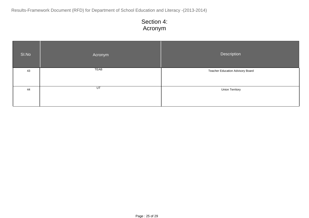| SI.No | Acronym | <b>Description</b>                      |
|-------|---------|-----------------------------------------|
| 43    | TEAB    | <b>Teacher Education Advisory Board</b> |
|       |         |                                         |
| 44    | UT      | <b>Union Territory</b>                  |
|       |         |                                         |
|       |         |                                         |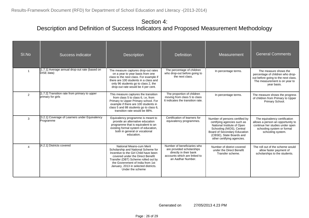#### Section 4: Description and Definition of Success Indicators and Proposed Measurement Methodology

| SI.No          | Success indicator                                                  | <b>Description</b>                                                                                                                                                                                                                                                                  | <b>Definition</b>                                                                                                                       | Measurement                                                                                                                                                                                                        | <b>General Comments</b>                                                                                                                                  |
|----------------|--------------------------------------------------------------------|-------------------------------------------------------------------------------------------------------------------------------------------------------------------------------------------------------------------------------------------------------------------------------------|-----------------------------------------------------------------------------------------------------------------------------------------|--------------------------------------------------------------------------------------------------------------------------------------------------------------------------------------------------------------------|----------------------------------------------------------------------------------------------------------------------------------------------------------|
|                | [1.7.1] Average annual drop-out rate (based on<br>DISE data)       | The measure captures drop-out rates<br>on a year to year basis from one<br>class to the next class. For example if<br>there are 100 students in a class and<br>only 96 students go to class 2, the<br>drop-out rate would be 4 per cent.                                            | The percentage of children<br>who drop-out before going to<br>the next class.                                                           | In percentage terms.                                                                                                                                                                                               | The measure shows the<br>percentage of children who drop-<br>out before going to the next class.<br>The measurement is on year to<br>year basis.         |
| $\overline{2}$ | [1.7.2] Transition rate from primary to upper<br>primary for girls | This measure captures the transition<br>from class 5 to class 6, i.e. from<br>Primary to Upper Primary school. For<br>example if there are 100 students in<br>class 5 and 88 students go to class 6,<br>transition rate would be 88%.                                               | The proportion of children<br>moving from class 5 to class<br>6 indicates the transition rate.                                          | In percentage terms.                                                                                                                                                                                               | The measure shows the progress<br>of children from Primary to Upper<br>Primary School.                                                                   |
| 3              | [3.2.1] Coverage of Learners under Equivalency<br>Programme        | Equivalency programme is meant to<br>provide an alternative education<br>programme that is equivalent to an<br>existing formal system of education,<br>both in general or vocational<br>education.                                                                                  | Certification of learners for<br>equivalency programmes.                                                                                | Number of persons certified by<br>certifying agencies such as<br>National Institute of Open<br>Schooling (NIOS), Central<br>Board of Secondary Education<br>(CBSE), State Boards and<br>other certifying agencies. | The equivalency certification<br>allows a person an opportunity to<br>continue her studies under open<br>schooling system or formal<br>schooling system. |
| 4              | [4.2.1] Districts covered                                          | National Means-cum Merit<br>Scholarship and National Scheme for<br>Incentive to the Girl Child have been<br>covered under the Direct Benefit<br>Transfer (DBT) Scheme rolled out by<br>the Government of India from 1st<br>January, 2013 in selected districts.<br>Under the scheme | Number of beneficiaries who<br>are provided scholarships<br>directly in their bank<br>accounts which are linked to<br>an Aadhar Number. | Number of district covered<br>under the Direct Benefit<br>Transfer scheme.                                                                                                                                         | The roll out of the scheme would<br>allow faster payment of<br>scholarships to the students.                                                             |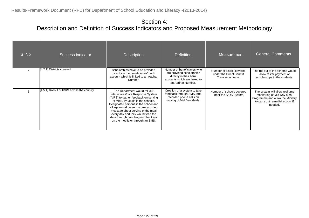#### Section 4: Description and Definition of Success Indicators and Proposed Measurement Methodology

| SI.No | Success indicator                          | <b>Description</b>                                                                                                                                                                                                                                                                                                                                                                | <b>Definition</b>                                                                                                                       | Measurement                                                                | <b>General Comments</b>                                                                                                                          |
|-------|--------------------------------------------|-----------------------------------------------------------------------------------------------------------------------------------------------------------------------------------------------------------------------------------------------------------------------------------------------------------------------------------------------------------------------------------|-----------------------------------------------------------------------------------------------------------------------------------------|----------------------------------------------------------------------------|--------------------------------------------------------------------------------------------------------------------------------------------------|
|       | [4.2.1] Districts covered                  | scholarships have to be provided<br>directly in the beneficiaries' bank<br>account which is linked to an Aadhar<br>Number.                                                                                                                                                                                                                                                        | Number of beneficiaries who<br>are provided scholarships<br>directly in their bank<br>accounts which are linked to<br>an Aadhar Number. | Number of district covered<br>under the Direct Benefit<br>Transfer scheme. | The roll out of the scheme would<br>allow faster payment of<br>scholarships to the students.                                                     |
|       | [4.5.1] Rollout of IVRS across the country | The Department would roll out<br>Interactive Voice Response System<br>(IVRS) to gather feedback on serving<br>of Mid Day Meals in the schools.<br>Designated persons in the school and<br>village would be sent a pre-recorded<br>message about serving of the meal<br>every day and they would feed the<br>data through punching number keys<br>on the mobile or through an SMS. | Creation of a system to take<br>feedback through SMS, pre-<br>recorded phone calls on<br>serving of Mid Day Meals.                      | Number of schools covered<br>under the IVRS System.                        | The system will allow real time<br>monitoring of Mid Day Meal<br>Programme and allow the Ministry<br>to carry out remedial action, if<br>needed. |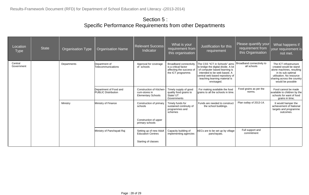#### Section 5 : Specific Performance Requirements from other Departments

| Location<br><b>Type</b> | <b>State</b> | <b>Organisation Type</b> | <b>Organisation Name</b>                             | <b>Relevant Success</b><br>Indicator                                   | What is your<br>requirement from<br>this organisation                                            | Justification for this<br>requirement                                                                                                                                                                                  | Please quantify your<br>requirement from<br>this Organisation | What happens if<br>your requirement is<br>not met.                                                                                                                                 |
|-------------------------|--------------|--------------------------|------------------------------------------------------|------------------------------------------------------------------------|--------------------------------------------------------------------------------------------------|------------------------------------------------------------------------------------------------------------------------------------------------------------------------------------------------------------------------|---------------------------------------------------------------|------------------------------------------------------------------------------------------------------------------------------------------------------------------------------------|
| Central<br>Government   |              | Departments              | Department of<br>Telecommunications                  | Approval for coverage<br>of schools                                    | Broadband connectivity<br>is a critical factor<br>affecting the success of<br>the ICT programme. | The CSS "ICT in Schools" aims<br>to bridge the digital divide. A lot<br>of computer based learning is<br>intended to be web based. A<br>central web based repository of<br>teaching learning material is<br>envisaged. | Broadband connectivity to<br>all schools                      | The ICT infrastructure<br>created would be stand<br>alone machines, resulting<br>in its sub optimal<br>utilisation. No resource<br>sharing across the country<br>would be possible |
|                         |              |                          | Department of Food and<br><b>PUBLIC Distribution</b> | Construction of Kitchen-<br>cum-stores in<br><b>Elementary Schools</b> | Timely supply of good<br>quality food grains to<br>State/ UT<br>Governments                      | For making available the food<br>grains to all the schools in time.                                                                                                                                                    | Food grains as per the<br>norms.                              | Food cannot be made<br>available to children by the<br>schools for want of food<br>grains in time;                                                                                 |
|                         |              | Ministry                 | Ministry of Finance                                  | Construction of primary<br>schools                                     | Timely funds for<br>sustained continuity of<br>programmes and<br>schemes                         | Funds are needed to construct<br>the school buildings.                                                                                                                                                                 | Plan outlay of 2013-14.                                       | It would hamper the<br>achievement of National<br>targets and programme<br>outcomes.                                                                                               |
|                         |              |                          |                                                      | Construction of upper<br>primary schools                               |                                                                                                  |                                                                                                                                                                                                                        |                                                               |                                                                                                                                                                                    |
|                         |              |                          | Ministry of Panchayati Raj                           | Setting up of new Adult<br><b>Education Centres</b>                    | Capacity building of<br>implementing agencies                                                    | AECs are to be set up by village<br>panchayats.                                                                                                                                                                        | Full support and<br>commitment                                |                                                                                                                                                                                    |
|                         |              |                          |                                                      | Starting of classes                                                    |                                                                                                  |                                                                                                                                                                                                                        |                                                               |                                                                                                                                                                                    |